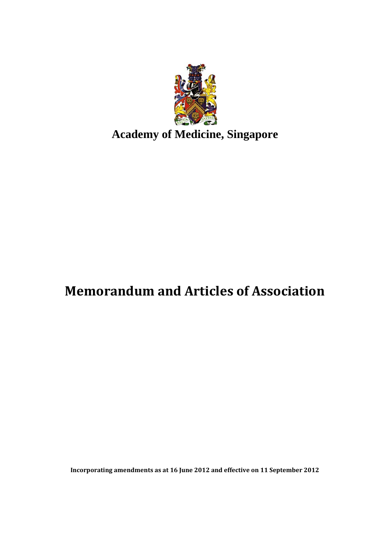

## **Academy of Medicine, Singapore**

# **Memorandum and Articles of Association**

**Incorporating amendments as at 16 June 2012 and effective on 11 September 2012**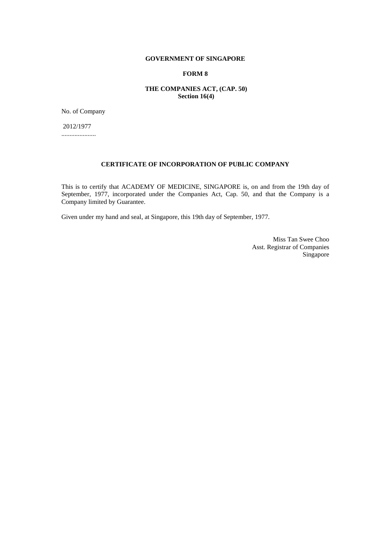#### **GOVERNMENT OF SINGAPORE**

#### **FORM 8**

#### **THE COMPANIES ACT, (CAP. 50) Section 16(4)**

No. of Company

2012/1977

.....................

### **CERTIFICATE OF INCORPORATION OF PUBLIC COMPANY**

This is to certify that ACADEMY OF MEDICINE, SINGAPORE is, on and from the 19th day of September, 1977, incorporated under the Companies Act, Cap. 50, and that the Company is a Company limited by Guarantee.

Given under my hand and seal, at Singapore, this 19th day of September, 1977.

 Miss Tan Swee Choo Asst. Registrar of Companies Singapore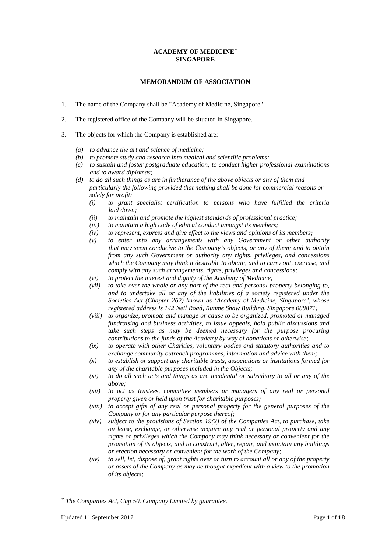#### **ACADEMY OF MEDICINE**[\\*](#page-2-0) **SINGAPORE**

#### **MEMORANDUM OF ASSOCIATION**

- 1. The name of the Company shall be "Academy of Medicine, Singapore".
- 2. The registered office of the Company will be situated in Singapore.
- 3. The objects for which the Company is established are:
	- *(a) to advance the art and science of medicine;*
	- *(b) to promote study and research into medical and scientific problems;*
	- *(c) to sustain and foster postgraduate education; to conduct higher professional examinations and to award diplomas;*
	- *(d) to do all such things as are in furtherance of the above objects or any of them and particularly the following provided that nothing shall be done for commercial reasons or solely for profit:*
		- *(i) to grant specialist certification to persons who have fulfilled the criteria laid down;*
		- *(ii) to maintain and promote the highest standards of professional practice;*
		- *(iii) to maintain a high code of ethical conduct amongst its members;*
		- *(iv) to represent, express and give effect to the views and opinions of its members;*
		- *(v) to enter into any arrangements with any Government or other authority that may seem conducive to the Company's objects, or any of them; and to obtain from any such Government or authority any rights, privileges, and concessions which the Company may think it desirable to obtain, and to carry out, exercise, and comply with any such arrangements, rights, privileges and concessions;*
		- *(vi) to protect the interest and dignity of the Academy of Medicine;*
		- *(vii) to take over the whole or any part of the real and personal property belonging to, and to undertake all or any of the liabilities of a society registered under the Societies Act (Chapter 262) known as 'Academy of Medicine, Singapore', whose registered address is 142 Neil Road, Runme Shaw Building, Singapore 088871;*
		- *(viii) to organize, promote and manage or cause to be organized, promoted or managed fundraising and business activities, to issue appeals, hold public discussions and take such steps as may be deemed necessary for the purpose procuring contributions to the funds of the Academy by way of donations or otherwise;*
		- *(ix) to operate with other Charities, voluntary bodies and statutory authorities and to exchange community outreach programmes, information and advice with them;*
		- *(x) to establish or support any charitable trusts, associations or institutions formed for any of the charitable purposes included in the Objects;*
		- *(xi) to do all such acts and things as are incidental or subsidiary to all or any of the above;*
		- *(xii) to act as trustees, committee members or managers of any real or personal property given or held upon trust for charitable purposes;*
		- *(xiii) to accept gifts of any real or personal property for the general purposes of the Company or for any particular purpose thereof;*
		- *(xiv) subject to the provisions of Section 19(2) of the Companies Act, to purchase, take on lease, exchange, or otherwise acquire any real or personal property and any rights or privileges which the Company may think necessary or convenient for the promotion of its objects, and to construct, alter, repair, and maintain any buildings or erection necessary or convenient for the work of the Company;*
		- *(xv) to sell, let, dispose of, grant rights over or turn to account all or any of the property or assets of the Company as may be thought expedient with a view to the promotion of its objects;*

<span id="page-2-0"></span> <sup>\*</sup> *The Companies Act, Cap 50. Company Limited by guarantee.*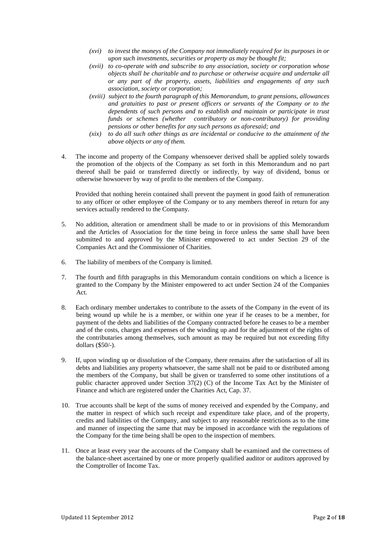- *(xvi) to invest the moneys of the Company not immediately required for its purposes in or upon such investments, securities or property as may be thought fit;*
- *(xvii) to co-operate with and subscribe to any association, society or corporation whose objects shall be charitable and to purchase or otherwise acquire and undertake all or any part of the property, assets, liabilities and engagements of any such association, society or corporation;*
- *(xviii) subject to the fourth paragraph of this Memorandum, to grant pensions, allowances and gratuities to past or present officers or servants of the Company or to the dependents of such persons and to establish and maintain or participate in trust funds or schemes (whether contributory or non-contributory) for providing pensions or other benefits for any such persons as aforesaid; and*
- *(xix) to do all such other things as are incidental or conducive to the attainment of the above objects or any of them.*
- 4. The income and property of the Company whensoever derived shall be applied solely towards the promotion of the objects of the Company as set forth in this Memorandum and no part thereof shall be paid or transferred directly or indirectly, by way of dividend, bonus or otherwise howsoever by way of profit to the members of the Company.

Provided that nothing herein contained shall prevent the payment in good faith of remuneration to any officer or other employee of the Company or to any members thereof in return for any services actually rendered to the Company.

- 5. No addition, alteration or amendment shall be made to or in provisions of this Memorandum and the Articles of Association for the time being in force unless the same shall have been submitted to and approved by the Minister empowered to act under Section 29 of the Companies Act and the Commissioner of Charities.
- 6. The liability of members of the Company is limited.
- 7. The fourth and fifth paragraphs in this Memorandum contain conditions on which a licence is granted to the Company by the Minister empowered to act under Section 24 of the Companies Act.
- 8. Each ordinary member undertakes to contribute to the assets of the Company in the event of its being wound up while he is a member, or within one year if he ceases to be a member, for payment of the debts and liabilities of the Company contracted before he ceases to be a member and of the costs, charges and expenses of the winding up and for the adjustment of the rights of the contributaries among themselves, such amount as may be required but not exceeding fifty dollars (\$50/-).
- 9. If, upon winding up or dissolution of the Company, there remains after the satisfaction of all its debts and liabilities any property whatsoever, the same shall not be paid to or distributed among the members of the Company, but shall be given or transferred to some other institutions of a public character approved under Section 37(2) (C) of the Income Tax Act by the Minister of Finance and which are registered under the Charities Act, Cap. 37.
- 10. True accounts shall be kept of the sums of money received and expended by the Company, and the matter in respect of which such receipt and expenditure take place, and of the property, credits and liabilities of the Company, and subject to any reasonable restrictions as to the time and manner of inspecting the same that may be imposed in accordance with the regulations of the Company for the time being shall be open to the inspection of members.
- 11. Once at least every year the accounts of the Company shall be examined and the correctness of the balance-sheet ascertained by one or more properly qualified auditor or auditors approved by the Comptroller of Income Tax.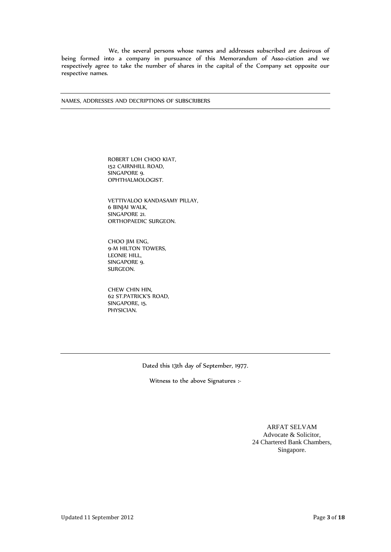We, the several persons whose names and addresses subscribed are desirous of being formed into a company in pursuance of this Memorandum of Asso-ciation and we respectively agree to take the number of shares in the capital of the Company set opposite our respective names.

NAMES, ADDRESSES AND DECRIPTIONS OF SUBSCRIBERS

ROBERT LOH CHOO KIAT, 152 CAIRNHILL ROAD, SINGAPORE 9. OPHTHALMOLOGIST.

VETTIVALOO KANDASAMY PILLAY, 6 BINJAI WALK, SINGAPORE 21. ORTHOPAEDIC SURGEON.

CHOO JIM ENG, 9-M HILTON TOWERS, LEONIE HILL, SINGAPORE 9. SURGEON.

CHEW CHIN HIN, 62 ST.PATRICK'S ROAD, SINGAPORE, 15. PHYSICIAN.

Dated this 13th day of September, 1977.

Witness to the above Signatures :-

ARFAT SELVAM Advocate & Solicitor, 24 Chartered Bank Chambers, Singapore.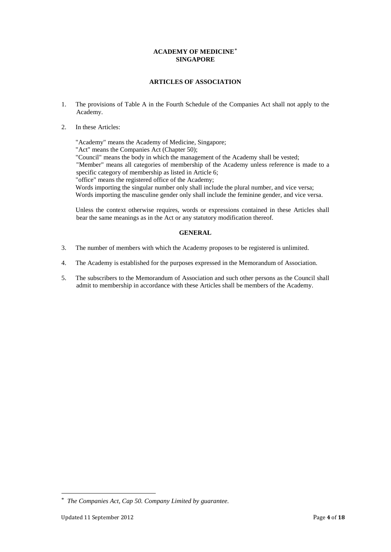#### **ACADEMY OF MEDICINE**[\\*](#page-5-0) **SINGAPORE**

#### **ARTICLES OF ASSOCIATION**

1. The provisions of Table A in the Fourth Schedule of the Companies Act shall not apply to the Academy.

#### 2. In these Articles:

"Academy" means the Academy of Medicine, Singapore;

"Act" means the Companies Act (Chapter 50);

"Council" means the body in which the management of the Academy shall be vested;

"Member" means all categories of membership of the Academy unless reference is made to a specific category of membership as listed in Article 6;

"office" means the registered office of the Academy;

Words importing the singular number only shall include the plural number, and vice versa; Words importing the masculine gender only shall include the feminine gender, and vice versa.

Unless the context otherwise requires, words or expressions contained in these Articles shall bear the same meanings as in the Act or any statutory modification thereof.

#### **GENERAL**

- 3. The number of members with which the Academy proposes to be registered is unlimited.
- 4. The Academy is established for the purposes expressed in the Memorandum of Association.
- 5. The subscribers to the Memorandum of Association and such other persons as the Council shall admit to membership in accordance with these Articles shall be members of the Academy.

<span id="page-5-0"></span> <sup>\*</sup> *The Companies Act, Cap 50. Company Limited by guarantee.*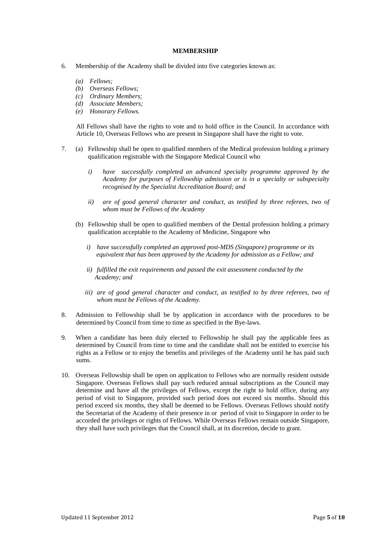#### **MEMBERSHIP**

- 6. Membership of the Academy shall be divided into five categories known as:
	- *(a) Fellows;*
	- *(b) Overseas Fellows;*
	- *(c) Ordinary Members;*
	- *(d) Associate Members;*
	- *(e) Honorary Fellows.*

All Fellows shall have the rights to vote and to hold office in the Council. In accordance with Article 10, Overseas Fellows who are present in Singapore shall have the right to vote.

- 7. (a) Fellowship shall be open to qualified members of the Medical profession holding a primary qualification registrable with the Singapore Medical Council who
	- *i) have successfully completed an advanced specialty programme approved by the Academy for purposes of Fellowship admission or is in a specialty or subspecialty recognised by the Specialist Accreditation Board; and*
	- *ii*) are of good general character and conduct, as testified by three referees, two of *whom must be Fellows of the Academy*
	- (b) Fellowship shall be open to qualified members of the Dental profession holding a primary qualification acceptable to the Academy of Medicine, Singapore who
		- *i) have successfully completed an approved post-MDS (Singapore) programme or its equivalent that has been approved by the Academy for admission as a Fellow; and*
		- *ii) fulfilled the exit requirements and passed the exit assessment conducted by the Academy; and*
		- *iii)* are of good general character and conduct, as testified to by three referees, two of *whom must be Fellows of the Academy.*
- 8. Admission to Fellowship shall be by application in accordance with the procedures to be determined by Council from time to time as specified in the Bye-laws.
- 9. When a candidate has been duly elected to Fellowship he shall pay the applicable fees as determined by Council from time to time and the candidate shall not be entitled to exercise his rights as a Fellow or to enjoy the benefits and privileges of the Academy until he has paid such sums.
- 10. Overseas Fellowship shall be open on application to Fellows who are normally resident outside Singapore. Overseas Fellows shall pay such reduced annual subscriptions as the Council may determine and have all the privileges of Fellows, except the right to hold office, during any period of visit to Singapore, provided such period does not exceed six months. Should this period exceed six months, they shall be deemed to be Fellows. Overseas Fellows should notify the Secretariat of the Academy of their presence in or period of visit to Singapore in order to be accorded the privileges or rights of Fellows. While Overseas Fellows remain outside Singapore, they shall have such privileges that the Council shall, at its discretion, decide to grant.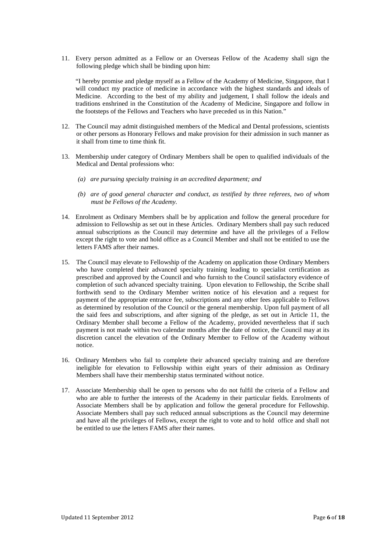11. Every person admitted as a Fellow or an Overseas Fellow of the Academy shall sign the following pledge which shall be binding upon him:

"I hereby promise and pledge myself as a Fellow of the Academy of Medicine, Singapore, that I will conduct my practice of medicine in accordance with the highest standards and ideals of Medicine. According to the best of my ability and judgement, I shall follow the ideals and traditions enshrined in the Constitution of the Academy of Medicine, Singapore and follow in the footsteps of the Fellows and Teachers who have preceded us in this Nation."

- 12. The Council may admit distinguished members of the Medical and Dental professions, scientists or other persons as Honorary Fellows and make provision for their admission in such manner as it shall from time to time think fit.
- 13. Membership under category of Ordinary Members shall be open to qualified individuals of the Medical and Dental professions who:
	- *(a) are pursuing specialty training in an accredited department; and*
	- *(b) are of good general character and conduct, as testified by three referees, two of whom must be Fellows of the Academy.*
- 14. Enrolment as Ordinary Members shall be by application and follow the general procedure for admission to Fellowship as set out in these Articles. Ordinary Members shall pay such reduced annual subscriptions as the Council may determine and have all the privileges of a Fellow except the right to vote and hold office as a Council Member and shall not be entitled to use the letters FAMS after their names.
- 15. The Council may elevate to Fellowship of the Academy on application those Ordinary Members who have completed their advanced specialty training leading to specialist certification as prescribed and approved by the Council and who furnish to the Council satisfactory evidence of completion of such advanced specialty training. Upon elevation to Fellowship, the Scribe shall forthwith send to the Ordinary Member written notice of his elevation and a request for payment of the appropriate entrance fee, subscriptions and any other fees applicable to Fellows as determined by resolution of the Council or the general membership. Upon full payment of all the said fees and subscriptions, and after signing of the pledge, as set out in Article 11, the Ordinary Member shall become a Fellow of the Academy, provided nevertheless that if such payment is not made within two calendar months after the date of notice, the Council may at its discretion cancel the elevation of the Ordinary Member to Fellow of the Academy without notice.
- 16. Ordinary Members who fail to complete their advanced specialty training and are therefore ineligible for elevation to Fellowship within eight years of their admission as Ordinary Members shall have their membership status terminated without notice.
- 17. Associate Membership shall be open to persons who do not fulfil the criteria of a Fellow and who are able to further the interests of the Academy in their particular fields. Enrolments of Associate Members shall be by application and follow the general procedure for Fellowship. Associate Members shall pay such reduced annual subscriptions as the Council may determine and have all the privileges of Fellows, except the right to vote and to hold office and shall not be entitled to use the letters FAMS after their names.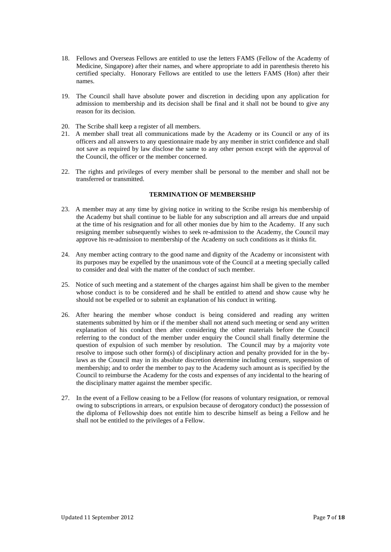- 18. Fellows and Overseas Fellows are entitled to use the letters FAMS (Fellow of the Academy of Medicine, Singapore) after their names, and where appropriate to add in parenthesis thereto his certified specialty. Honorary Fellows are entitled to use the letters FAMS (Hon) after their names.
- 19. The Council shall have absolute power and discretion in deciding upon any application for admission to membership and its decision shall be final and it shall not be bound to give any reason for its decision.
- 20. The Scribe shall keep a register of all members.
- 21. A member shall treat all communications made by the Academy or its Council or any of its officers and all answers to any questionnaire made by any member in strict confidence and shall not save as required by law disclose the same to any other person except with the approval of the Council, the officer or the member concerned.
- 22. The rights and privileges of every member shall be personal to the member and shall not be transferred or transmitted.

#### **TERMINATION OF MEMBERSHIP**

- 23. A member may at any time by giving notice in writing to the Scribe resign his membership of the Academy but shall continue to be liable for any subscription and all arrears due and unpaid at the time of his resignation and for all other monies due by him to the Academy. If any such resigning member subsequently wishes to seek re-admission to the Academy, the Council may approve his re-admission to membership of the Academy on such conditions as it thinks fit.
- 24. Any member acting contrary to the good name and dignity of the Academy or inconsistent with its purposes may be expelled by the unanimous vote of the Council at a meeting specially called to consider and deal with the matter of the conduct of such member.
- 25. Notice of such meeting and a statement of the charges against him shall be given to the member whose conduct is to be considered and he shall be entitled to attend and show cause why he should not be expelled or to submit an explanation of his conduct in writing.
- 26. After hearing the member whose conduct is being considered and reading any written statements submitted by him or if the member shall not attend such meeting or send any written explanation of his conduct then after considering the other materials before the Council referring to the conduct of the member under enquiry the Council shall finally determine the question of expulsion of such member by resolution. The Council may by a majority vote resolve to impose such other form(s) of disciplinary action and penalty provided for in the bylaws as the Council may in its absolute discretion determine including censure, suspension of membership; and to order the member to pay to the Academy such amount as is specified by the Council to reimburse the Academy for the costs and expenses of any incidental to the hearing of the disciplinary matter against the member specific.
- 27. In the event of a Fellow ceasing to be a Fellow (for reasons of voluntary resignation, or removal owing to subscriptions in arrears, or expulsion because of derogatory conduct) the possession of the diploma of Fellowship does not entitle him to describe himself as being a Fellow and he shall not be entitled to the privileges of a Fellow.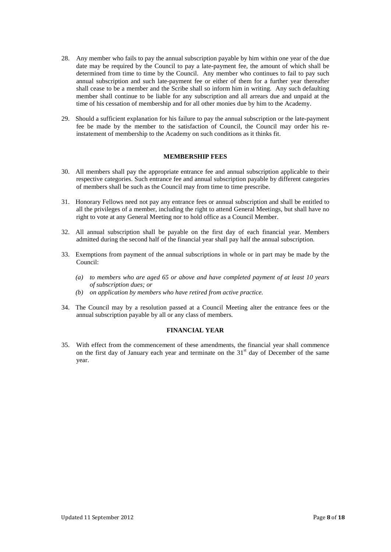- 28. Any member who fails to pay the annual subscription payable by him within one year of the due date may be required by the Council to pay a late-payment fee, the amount of which shall be determined from time to time by the Council. Any member who continues to fail to pay such annual subscription and such late-payment fee or either of them for a further year thereafter shall cease to be a member and the Scribe shall so inform him in writing. Any such defaulting member shall continue to be liable for any subscription and all arrears due and unpaid at the time of his cessation of membership and for all other monies due by him to the Academy.
- 29. Should a sufficient explanation for his failure to pay the annual subscription or the late-payment fee be made by the member to the satisfaction of Council, the Council may order his reinstatement of membership to the Academy on such conditions as it thinks fit.

#### **MEMBERSHIP FEES**

- 30. All members shall pay the appropriate entrance fee and annual subscription applicable to their respective categories. Such entrance fee and annual subscription payable by different categories of members shall be such as the Council may from time to time prescribe.
- 31. Honorary Fellows need not pay any entrance fees or annual subscription and shall be entitled to all the privileges of a member, including the right to attend General Meetings, but shall have no right to vote at any General Meeting nor to hold office as a Council Member.
- 32. All annual subscription shall be payable on the first day of each financial year. Members admitted during the second half of the financial year shall pay half the annual subscription.
- 33. Exemptions from payment of the annual subscriptions in whole or in part may be made by the Council:
	- *(a) to members who are aged 65 or above and have completed payment of at least 10 years of subscription dues; or*
	- *(b) on application by members who have retired from active practice.*
- 34. The Council may by a resolution passed at a Council Meeting alter the entrance fees or the annual subscription payable by all or any class of members.

#### **FINANCIAL YEAR**

35. With effect from the commencement of these amendments, the financial year shall commence on the first day of January each year and terminate on the  $31<sup>st</sup>$  day of December of the same year.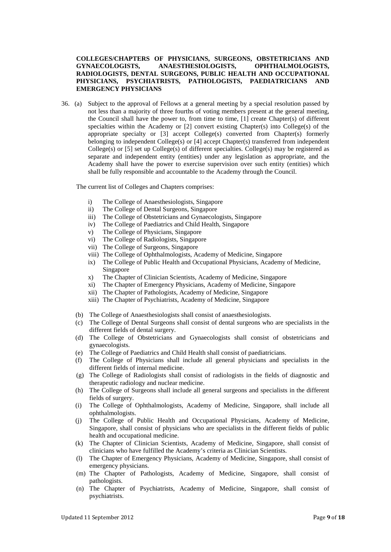#### **COLLEGES/CHAPTERS OF PHYSICIANS, SURGEONS, OBSTETRICIANS AND GYNAECOLOGISTS, ANAESTHESIOLOGISTS, OPHTHALMOLOGISTS, RADIOLOGISTS, DENTAL SURGEONS, PUBLIC HEALTH AND OCCUPATIONAL PHYSICIANS, PSYCHIATRISTS, PATHOLOGISTS, PAEDIATRICIANS AND EMERGENCY PHYSICIANS**

36. (a) Subject to the approval of Fellows at a general meeting by a special resolution passed by not less than a majority of three fourths of voting members present at the general meeting, the Council shall have the power to, from time to time, [1] create Chapter(s) of different specialties within the Academy or  $[2]$  convert existing Chapter(s) into College(s) of the appropriate specialty or [3] accept College(s) converted from Chapter(s) formerly belonging to independent College(s) or [4] accept Chapter(s) transferred from independent College(s) or  $[5]$  set up College(s) of different specialties. College(s) may be registered as separate and independent entity (entities) under any legislation as appropriate, and the Academy shall have the power to exercise supervision over such entity (entities) which shall be fully responsible and accountable to the Academy through the Council.

The current list of Colleges and Chapters comprises:

- i) The College of Anaesthesiologists, Singapore
- ii) The College of Dental Surgeons, Singapore
- iii) The College of Obstetricians and Gynaecologists, Singapore
- iv) The College of Paediatrics and Child Health, Singapore
- v) The College of Physicians, Singapore
- vi) The College of Radiologists, Singapore
- vii) The College of Surgeons, Singapore
- viii) The College of Ophthalmologists, Academy of Medicine, Singapore
- ix) The College of Public Health and Occupational Physicians, Academy of Medicine, Singapore
- x) The Chapter of Clinician Scientists, Academy of Medicine, Singapore
- xi) The Chapter of Emergency Physicians, Academy of Medicine, Singapore
- xii) The Chapter of Pathologists, Academy of Medicine, Singapore
- xiii) The Chapter of Psychiatrists, Academy of Medicine, Singapore
- (b) The College of Anaesthesiologists shall consist of anaesthesiologists.
- (c) The College of Dental Surgeons shall consist of dental surgeons who are specialists in the different fields of dental surgery.
- (d) The College of Obstetricians and Gynaecologists shall consist of obstetricians and gynaecologists.
- (e) The College of Paediatrics and Child Health shall consist of paediatricians.
- (f) The College of Physicians shall include all general physicians and specialists in the different fields of internal medicine.
- (g) The College of Radiologists shall consist of radiologists in the fields of diagnostic and therapeutic radiology and nuclear medicine.
- (h) The College of Surgeons shall include all general surgeons and specialists in the different fields of surgery.
- (i) The College of Ophthalmologists, Academy of Medicine, Singapore, shall include all ophthalmologists.
- (j) The College of Public Health and Occupational Physicians, Academy of Medicine, Singapore, shall consist of physicians who are specialists in the different fields of public health and occupational medicine.
- (k) The Chapter of Clinician Scientists, Academy of Medicine, Singapore, shall consist of clinicians who have fulfilled the Academy's criteria as Clinician Scientists.
- (l) The Chapter of Emergency Physicians, Academy of Medicine, Singapore, shall consist of emergency physicians.
- (m) The Chapter of Pathologists, Academy of Medicine, Singapore, shall consist of pathologists.
- (n) The Chapter of Psychiatrists, Academy of Medicine, Singapore, shall consist of psychiatrists.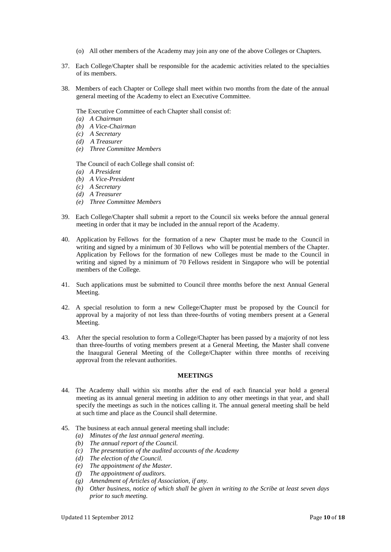- (o) All other members of the Academy may join any one of the above Colleges or Chapters.
- 37. Each College/Chapter shall be responsible for the academic activities related to the specialties of its members.
- 38. Members of each Chapter or College shall meet within two months from the date of the annual general meeting of the Academy to elect an Executive Committee.

The Executive Committee of each Chapter shall consist of:

- *(a) A Chairman*
- *(b) A Vice-Chairman*
- *(c) A Secretary*
- *(d) A Treasurer*
- *(e) Three Committee Members*

The Council of each College shall consist of:

- *(a) A President*
- *(b) A Vice-President*
- *(c) A Secretary*
- *(d) A Treasurer*
- *(e) Three Committee Members*
- 39. Each College/Chapter shall submit a report to the Council six weeks before the annual general meeting in order that it may be included in the annual report of the Academy.
- 40. Application by Fellows for the formation of a new Chapter must be made to the Council in writing and signed by a minimum of 30 Fellows who will be potential members of the Chapter. Application by Fellows for the formation of new Colleges must be made to the Council in writing and signed by a minimum of 70 Fellows resident in Singapore who will be potential members of the College.
- 41. Such applications must be submitted to Council three months before the next Annual General Meeting.
- 42. A special resolution to form a new College/Chapter must be proposed by the Council for approval by a majority of not less than three-fourths of voting members present at a General Meeting.
- 43. After the special resolution to form a College/Chapter has been passed by a majority of not less than three-fourths of voting members present at a General Meeting, the Master shall convene the Inaugural General Meeting of the College/Chapter within three months of receiving approval from the relevant authorities.

#### **MEETINGS**

- 44. The Academy shall within six months after the end of each financial year hold a general meeting as its annual general meeting in addition to any other meetings in that year, and shall specify the meetings as such in the notices calling it. The annual general meeting shall be held at such time and place as the Council shall determine.
- 45. The business at each annual general meeting shall include:
	- *(a) Minutes of the last annual general meeting.*
	- *(b) The annual report of the Council.*
	- *(c) The presentation of the audited accounts of the Academy*
	- *(d) The election of the Council.*
	- *(e) The appointment of the Master.*
	- *(f) The appointment of auditors.*
	- *(g) Amendment of Articles of Association, if any.*
	- *(h) Other business, notice of which shall be given in writing to the Scribe at least seven days prior to such meeting.*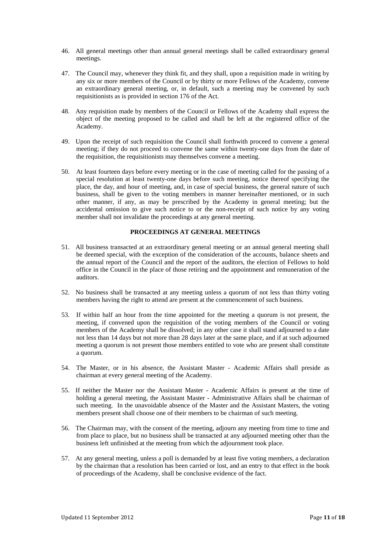- 46. All general meetings other than annual general meetings shall be called extraordinary general meetings.
- 47. The Council may, whenever they think fit, and they shall, upon a requisition made in writing by any six or more members of the Council or by thirty or more Fellows of the Academy, convene an extraordinary general meeting, or, in default, such a meeting may be convened by such requisitionists as is provided in section 176 of the Act.
- 48. Any requisition made by members of the Council or Fellows of the Academy shall express the object of the meeting proposed to be called and shall be left at the registered office of the Academy.
- 49. Upon the receipt of such requisition the Council shall forthwith proceed to convene a general meeting; if they do not proceed to convene the same within twenty-one days from the date of the requisition, the requisitionists may themselves convene a meeting.
- 50. At least fourteen days before every meeting or in the case of meeting called for the passing of a special resolution at least twenty-one days before such meeting, notice thereof specifying the place, the day, and hour of meeting, and, in case of special business, the general nature of such business, shall be given to the voting members in manner hereinafter mentioned, or in such other manner, if any, as may be prescribed by the Academy in general meeting; but the accidental omission to give such notice to or the non-receipt of such notice by any voting member shall not invalidate the proceedings at any general meeting.

#### **PROCEEDINGS AT GENERAL MEETINGS**

- 51. All business transacted at an extraordinary general meeting or an annual general meeting shall be deemed special, with the exception of the consideration of the accounts, balance sheets and the annual report of the Council and the report of the auditors, the election of Fellows to hold office in the Council in the place of those retiring and the appointment and remuneration of the auditors.
- 52. No business shall be transacted at any meeting unless a quorum of not less than thirty voting members having the right to attend are present at the commencement of such business.
- 53. If within half an hour from the time appointed for the meeting a quorum is not present, the meeting, if convened upon the requisition of the voting members of the Council or voting members of the Academy shall be dissolved; in any other case it shall stand adjourned to a date not less than 14 days but not more than 28 days later at the same place, and if at such adjourned meeting a quorum is not present those members entitled to vote who are present shall constitute a quorum.
- 54. The Master, or in his absence, the Assistant Master Academic Affairs shall preside as chairman at every general meeting of the Academy.
- 55. If neither the Master nor the Assistant Master Academic Affairs is present at the time of holding a general meeting, the Assistant Master - Administrative Affairs shall be chairman of such meeting. In the unavoidable absence of the Master and the Assistant Masters, the voting members present shall choose one of their members to be chairman of such meeting.
- 56. The Chairman may, with the consent of the meeting, adjourn any meeting from time to time and from place to place, but no business shall be transacted at any adjourned meeting other than the business left unfinished at the meeting from which the adjournment took place.
- 57. At any general meeting, unless a poll is demanded by at least five voting members, a declaration by the chairman that a resolution has been carried or lost, and an entry to that effect in the book of proceedings of the Academy, shall be conclusive evidence of the fact.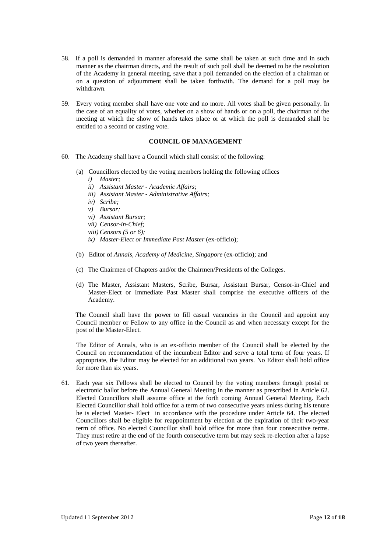- 58. If a poll is demanded in manner aforesaid the same shall be taken at such time and in such manner as the chairman directs, and the result of such poll shall be deemed to be the resolution of the Academy in general meeting, save that a poll demanded on the election of a chairman or on a question of adjournment shall be taken forthwith. The demand for a poll may be withdrawn.
- 59. Every voting member shall have one vote and no more. All votes shall be given personally. In the case of an equality of votes, whether on a show of hands or on a poll, the chairman of the meeting at which the show of hands takes place or at which the poll is demanded shall be entitled to a second or casting vote.

#### **COUNCIL OF MANAGEMENT**

- 60. The Academy shall have a Council which shall consist of the following:
	- (a) Councillors elected by the voting members holding the following offices *i) Master;*
		- *ii) Assistant Master - Academic Affairs;*
		- *iii) Assistant Master - Administrative Affairs;*
		- *iv) Scribe;*
		- *v) Bursar;*
		- *vi) Assistant Bursar;*
		- *vii) Censor-in-Chief;*
		- *viii) Censors (5 or 6);*
		- *ix) Master-Elect or Immediate Past Master* (ex-officio);
	- (b) Editor of *Annals, Academy of Medicine, Singapore* (ex-officio); and
	- (c) The Chairmen of Chapters and/or the Chairmen/Presidents of the Colleges.
	- (d) The Master, Assistant Masters, Scribe, Bursar, Assistant Bursar, Censor-in-Chief and Master-Elect or Immediate Past Master shall comprise the executive officers of the Academy.

 The Council shall have the power to fill casual vacancies in the Council and appoint any Council member or Fellow to any office in the Council as and when necessary except for the post of the Master-Elect.

The Editor of Annals, who is an ex-officio member of the Council shall be elected by the Council on recommendation of the incumbent Editor and serve a total term of four years. If appropriate, the Editor may be elected for an additional two years. No Editor shall hold office for more than six years.

61. Each year six Fellows shall be elected to Council by the voting members through postal or electronic ballot before the Annual General Meeting in the manner as prescribed in Article 62. Elected Councillors shall assume office at the forth coming Annual General Meeting. Each Elected Councillor shall hold office for a term of two consecutive years unless during his tenure he is elected Master- Elect in accordance with the procedure under Article 64. The elected Councillors shall be eligible for reappointment by election at the expiration of their two-year term of office. No elected Councillor shall hold office for more than four consecutive terms. They must retire at the end of the fourth consecutive term but may seek re-election after a lapse of two years thereafter.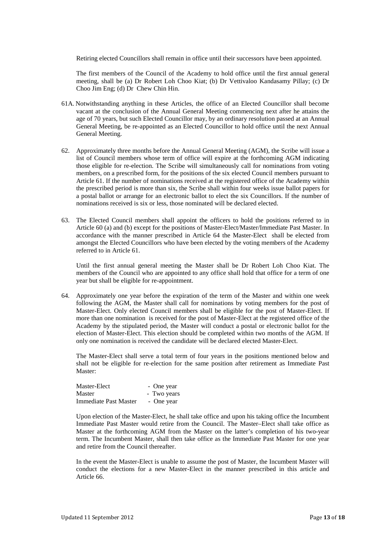Retiring elected Councillors shall remain in office until their successors have been appointed.

The first members of the Council of the Academy to hold office until the first annual general meeting, shall be (a) Dr Robert Loh Choo Kiat; (b) Dr Vettivaloo Kandasamy Pillay; (c) Dr Choo Jim Eng; (d) Dr Chew Chin Hin.

- 61A. Notwithstanding anything in these Articles, the office of an Elected Councillor shall become vacant at the conclusion of the Annual General Meeting commencing next after he attains the age of 70 years, but such Elected Councillor may, by an ordinary resolution passed at an Annual General Meeting, be re-appointed as an Elected Councillor to hold office until the next Annual General Meeting.
- 62. Approximately three months before the Annual General Meeting (AGM), the Scribe will issue a list of Council members whose term of office will expire at the forthcoming AGM indicating those eligible for re-election. The Scribe will simultaneously call for nominations from voting members, on a prescribed form, for the positions of the six elected Council members pursuant to Article 61. If the number of nominations received at the registered office of the Academy within the prescribed period is more than six, the Scribe shall within four weeks issue ballot papers for a postal ballot or arrange for an electronic ballot to elect the six Councillors. If the number of nominations received is six or less, those nominated will be declared elected.
- 63. The Elected Council members shall appoint the officers to hold the positions referred to in Article 60 (a) and (b) except for the positions of Master-Elect/Master/Immediate Past Master. In accordance with the manner prescribed in Article 64 the Master-Elect shall be elected from amongst the Elected Councillors who have been elected by the voting members of the Academy referred to in Article 61.

Until the first annual general meeting the Master shall be Dr Robert Loh Choo Kiat. The members of the Council who are appointed to any office shall hold that office for a term of one year but shall be eligible for re-appointment.

64. Approximately one year before the expiration of the term of the Master and within one week following the AGM, the Master shall call for nominations by voting members for the post of Master-Elect. Only elected Council members shall be eligible for the post of Master-Elect. If more than one nomination is received for the post of Master-Elect at the registered office of the Academy by the stipulated period, the Master will conduct a postal or electronic ballot for the election of Master-Elect. This election should be completed within two months of the AGM. If only one nomination is received the candidate will be declared elected Master-Elect.

The Master-Elect shall serve a total term of four years in the positions mentioned below and shall not be eligible for re-election for the same position after retirement as Immediate Past Master:

| Master-Elect          | - One year  |
|-----------------------|-------------|
| Master                | - Two years |
| Immediate Past Master | - One year  |

Upon election of the Master-Elect, he shall take office and upon his taking office the Incumbent Immediate Past Master would retire from the Council. The Master–Elect shall take office as Master at the forthcoming AGM from the Master on the latter's completion of his two-year term. The Incumbent Master, shall then take office as the Immediate Past Master for one year and retire from the Council thereafter.

In the event the Master-Elect is unable to assume the post of Master, the Incumbent Master will conduct the elections for a new Master-Elect in the manner prescribed in this article and Article 66.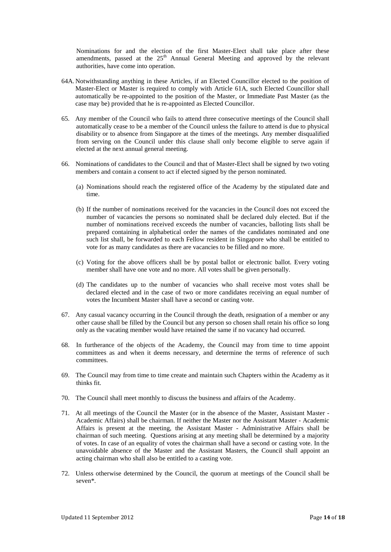Nominations for and the election of the first Master-Elect shall take place after these amendments, passed at the  $25<sup>th</sup>$  Annual General Meeting and approved by the relevant authorities, have come into operation.

- 64A. Notwithstanding anything in these Articles, if an Elected Councillor elected to the position of Master-Elect or Master is required to comply with Article 61A, such Elected Councillor shall automatically be re-appointed to the position of the Master, or Immediate Past Master (as the case may be) provided that he is re-appointed as Elected Councillor.
- 65. Any member of the Council who fails to attend three consecutive meetings of the Council shall automatically cease to be a member of the Council unless the failure to attend is due to physical disability or to absence from Singapore at the times of the meetings. Any member disqualified from serving on the Council under this clause shall only become eligible to serve again if elected at the next annual general meeting.
- 66. Nominations of candidates to the Council and that of Master-Elect shall be signed by two voting members and contain a consent to act if elected signed by the person nominated.
	- (a) Nominations should reach the registered office of the Academy by the stipulated date and time.
	- (b) If the number of nominations received for the vacancies in the Council does not exceed the number of vacancies the persons so nominated shall be declared duly elected. But if the number of nominations received exceeds the number of vacancies, balloting lists shall be prepared containing in alphabetical order the names of the candidates nominated and one such list shall, be forwarded to each Fellow resident in Singapore who shall be entitled to vote for as many candidates as there are vacancies to be filled and no more.
	- (c) Voting for the above officers shall be by postal ballot or electronic ballot. Every voting member shall have one vote and no more. All votes shall be given personally.
	- (d) The candidates up to the number of vacancies who shall receive most votes shall be declared elected and in the case of two or more candidates receiving an equal number of votes the Incumbent Master shall have a second or casting vote.
- 67. Any casual vacancy occurring in the Council through the death, resignation of a member or any other cause shall be filled by the Council but any person so chosen shall retain his office so long only as the vacating member would have retained the same if no vacancy had occurred.
- 68. In furtherance of the objects of the Academy, the Council may from time to time appoint committees as and when it deems necessary, and determine the terms of reference of such committees.
- 69. The Council may from time to time create and maintain such Chapters within the Academy as it thinks fit.
- 70. The Council shall meet monthly to discuss the business and affairs of the Academy.
- 71. At all meetings of the Council the Master (or in the absence of the Master, Assistant Master Academic Affairs) shall be chairman. If neither the Master nor the Assistant Master - Academic Affairs is present at the meeting, the Assistant Master - Administrative Affairs shall be chairman of such meeting. Questions arising at any meeting shall be determined by a majority of votes. In case of an equality of votes the chairman shall have a second or casting vote. In the unavoidable absence of the Master and the Assistant Masters, the Council shall appoint an acting chairman who shall also be entitled to a casting vote.
- 72. Unless otherwise determined by the Council, the quorum at meetings of the Council shall be seven\*.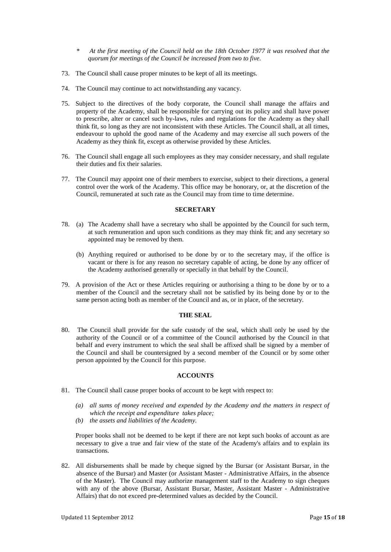- *\* At the first meeting of the Council held on the 18th October 1977 it was resolved that the quorum for meetings of the Council be increased from two to five.*
- 73. The Council shall cause proper minutes to be kept of all its meetings.
- 74. The Council may continue to act notwithstanding any vacancy.
- 75. Subject to the directives of the body corporate, the Council shall manage the affairs and property of the Academy, shall be responsible for carrying out its policy and shall have power to prescribe, alter or cancel such by-laws, rules and regulations for the Academy as they shall think fit, so long as they are not inconsistent with these Articles. The Council shall, at all times, endeavour to uphold the good name of the Academy and may exercise all such powers of the Academy as they think fit, except as otherwise provided by these Articles.
- 76. The Council shall engage all such employees as they may consider necessary, and shall regulate their duties and fix their salaries.
- 77. The Council may appoint one of their members to exercise, subject to their directions, a general control over the work of the Academy. This office may be honorary, or, at the discretion of the Council, remunerated at such rate as the Council may from time to time determine.

#### **SECRETARY**

- 78. (a) The Academy shall have a secretary who shall be appointed by the Council for such term, at such remuneration and upon such conditions as they may think fit; and any secretary so appointed may be removed by them.
	- (b) Anything required or authorised to be done by or to the secretary may, if the office is vacant or there is for any reason no secretary capable of acting, be done by any officer of the Academy authorised generally or specially in that behalf by the Council.
- 79. A provision of the Act or these Articles requiring or authorising a thing to be done by or to a member of the Council and the secretary shall not be satisfied by its being done by or to the same person acting both as member of the Council and as, or in place, of the secretary.

#### **THE SEAL**

80. The Council shall provide for the safe custody of the seal, which shall only be used by the authority of the Council or of a committee of the Council authorised by the Council in that behalf and every instrument to which the seal shall be affixed shall be signed by a member of the Council and shall be countersigned by a second member of the Council or by some other person appointed by the Council for this purpose.

#### **ACCOUNTS**

- 81. The Council shall cause proper books of account to be kept with respect to:
	- *(a) all sums of money received and expended by the Academy and the matters in respect of which the receipt and expenditure takes place;*
	- *(b) the assets and liabilities of the Academy.*

Proper books shall not be deemed to be kept if there are not kept such books of account as are necessary to give a true and fair view of the state of the Academy's affairs and to explain its transactions.

82. All disbursements shall be made by cheque signed by the Bursar (or Assistant Bursar, in the absence of the Bursar) and Master (or Assistant Master - Administrative Affairs, in the absence of the Master). The Council may authorize management staff to the Academy to sign cheques with any of the above (Bursar, Assistant Bursar, Master, Assistant Master - Administrative Affairs) that do not exceed pre-determined values as decided by the Council.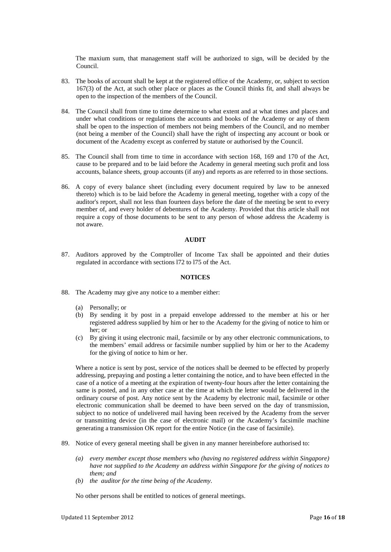The maxium sum, that management staff will be authorized to sign, will be decided by the Council.

- 83. The books of account shall be kept at the registered office of the Academy, or, subject to section 167(3) of the Act, at such other place or places as the Council thinks fit, and shall always be open to the inspection of the members of the Council.
- 84. The Council shall from time to time determine to what extent and at what times and places and under what conditions or regulations the accounts and books of the Academy or any of them shall be open to the inspection of members not being members of the Council, and no member (not being a member of the Council) shall have the right of inspecting any account or book or document of the Academy except as conferred by statute or authorised by the Council.
- 85. The Council shall from time to time in accordance with section 168, 169 and 170 of the Act, cause to be prepared and to be laid before the Academy in general meeting such profit and loss accounts, balance sheets, group accounts (if any) and reports as are referred to in those sections.
- 86. A copy of every balance sheet (including every document required by law to be annexed thereto) which is to be laid before the Academy in general meeting, together with a copy of the auditor's report, shall not less than fourteen days before the date of the meeting be sent to every member of, and every holder of debentures of the Academy. Provided that this article shall not require a copy of those documents to be sent to any person of whose address the Academy is not aware.

#### **AUDIT**

87. Auditors approved by the Comptroller of Income Tax shall be appointed and their duties regulated in accordance with sections l72 to l75 of the Act.

#### **NOTICES**

- 88. The Academy may give any notice to a member either:
	- (a) Personally; or
	- (b) By sending it by post in a prepaid envelope addressed to the member at his or her registered address supplied by him or her to the Academy for the giving of notice to him or her; or
	- (c) By giving it using electronic mail, facsimile or by any other electronic communications, to the members' email address or facsimile number supplied by him or her to the Academy for the giving of notice to him or her.

Where a notice is sent by post, service of the notices shall be deemed to be effected by properly addressing, prepaying and posting a letter containing the notice, and to have been effected in the case of a notice of a meeting at the expiration of twenty-four hours after the letter containing the same is posted, and in any other case at the time at which the letter would be delivered in the ordinary course of post. Any notice sent by the Academy by electronic mail, facsimile or other electronic communication shall be deemed to have been served on the day of transmission, subject to no notice of undelivered mail having been received by the Academy from the server or transmitting device (in the case of electronic mail) or the Academy's facsimile machine generating a transmission OK report for the entire Notice (in the case of facsimile).

- 89. Notice of every general meeting shall be given in any manner hereinbefore authorised to:
	- *(a) every member except those members who (having no registered address within Singapore) have not supplied to the Academy an address within Singapore for the giving of notices to them; and*
	- *(b) the auditor for the time being of the Academy.*

No other persons shall be entitled to notices of general meetings.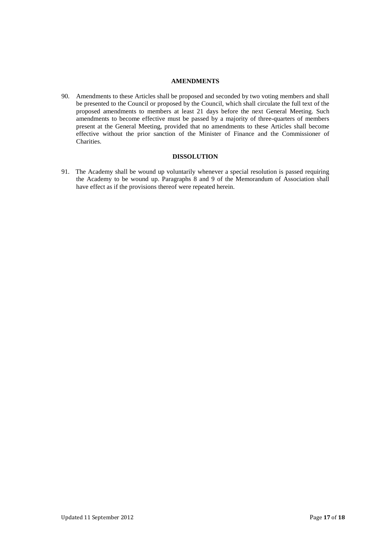#### **AMENDMENTS**

90. Amendments to these Articles shall be proposed and seconded by two voting members and shall be presented to the Council or proposed by the Council, which shall circulate the full text of the proposed amendments to members at least 21 days before the next General Meeting. Such amendments to become effective must be passed by a majority of three-quarters of members present at the General Meeting, provided that no amendments to these Articles shall become effective without the prior sanction of the Minister of Finance and the Commissioner of Charities.

#### **DISSOLUTION**

91. The Academy shall be wound up voluntarily whenever a special resolution is passed requiring the Academy to be wound up. Paragraphs 8 and 9 of the Memorandum of Association shall have effect as if the provisions thereof were repeated herein.